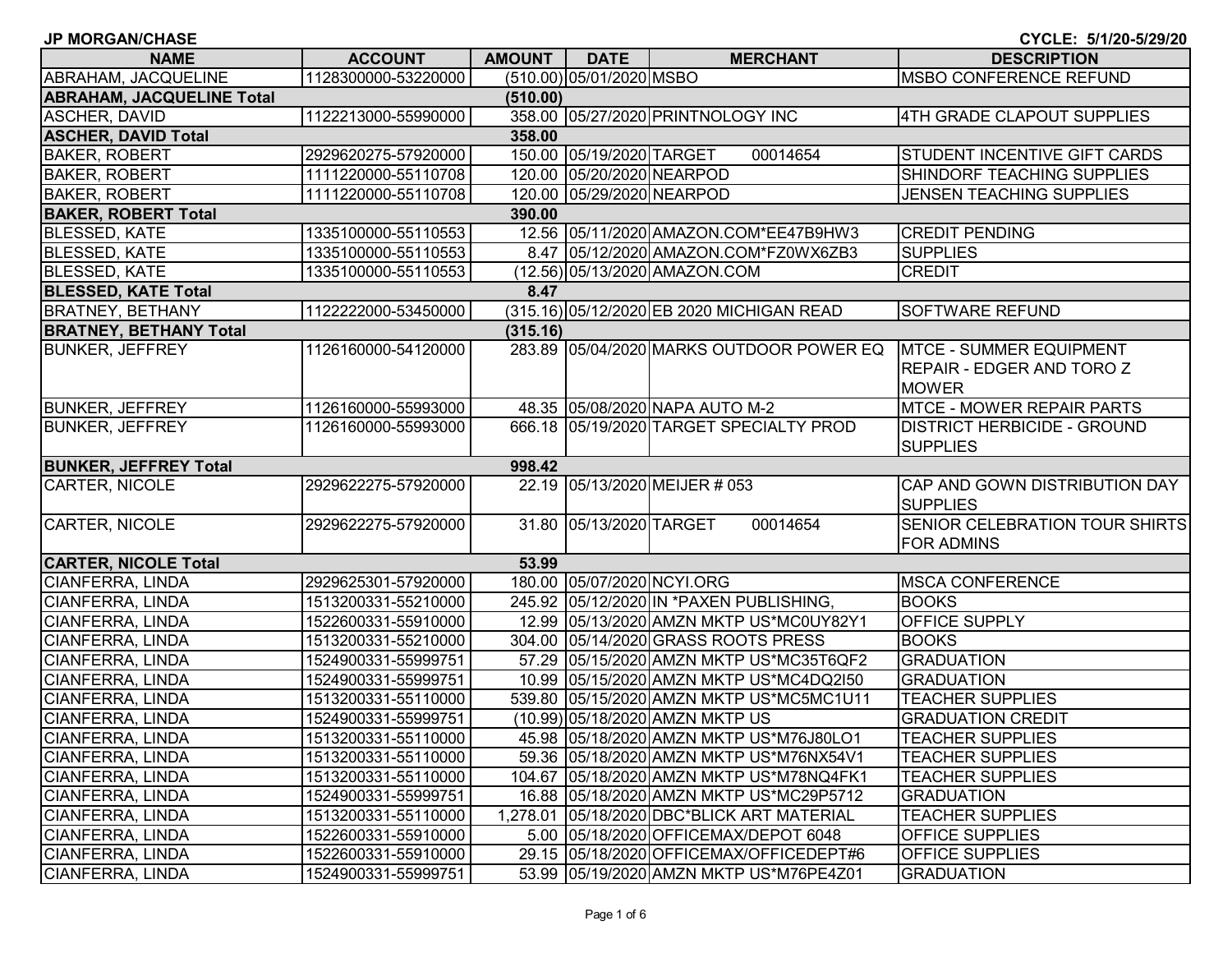| <b>JP MORGAN/CHASE</b>           |                     |               |                           |                                            | CYCLE: 5/1/20-5/29/20                                                              |
|----------------------------------|---------------------|---------------|---------------------------|--------------------------------------------|------------------------------------------------------------------------------------|
| <b>NAME</b>                      | <b>ACCOUNT</b>      | <b>AMOUNT</b> | <b>DATE</b>               | <b>MERCHANT</b>                            | <b>DESCRIPTION</b>                                                                 |
| ABRAHAM, JACQUELINE              | 1128300000-53220000 |               | (510.00) 05/01/2020 MSBO  |                                            | <b>MSBO CONFERENCE REFUND</b>                                                      |
| <b>ABRAHAM, JACQUELINE Total</b> |                     | (510.00)      |                           |                                            |                                                                                    |
| ASCHER, DAVID                    | 1122213000-55990000 |               |                           | 358.00 05/27/2020 PRINTNOLOGY INC          | 4TH GRADE CLAPOUT SUPPLIES                                                         |
| <b>ASCHER, DAVID Total</b>       |                     | 358.00        |                           |                                            |                                                                                    |
| <b>BAKER, ROBERT</b>             | 2929620275-57920000 |               | 150.00 05/19/2020 TARGET  | 00014654                                   | STUDENT INCENTIVE GIFT CARDS                                                       |
| <b>BAKER, ROBERT</b>             | 1111220000-55110708 |               | 120.00 05/20/2020 NEARPOD |                                            | SHINDORF TEACHING SUPPLIES                                                         |
| <b>BAKER, ROBERT</b>             | 1111220000-55110708 |               |                           | 120.00 05/29/2020 NEARPOD                  | <b>JENSEN TEACHING SUPPLIES</b>                                                    |
| <b>BAKER, ROBERT Total</b>       |                     | 390.00        |                           |                                            |                                                                                    |
| <b>BLESSED, KATE</b>             | 1335100000-55110553 |               |                           | 12.56 05/11/2020 AMAZON.COM*EE47B9HW3      | <b>CREDIT PENDING</b>                                                              |
| <b>BLESSED, KATE</b>             | 1335100000-55110553 |               |                           | 8.47 05/12/2020 AMAZON.COM*FZ0WX6ZB3       | <b>SUPPLIES</b>                                                                    |
| <b>BLESSED, KATE</b>             | 1335100000-55110553 |               |                           | (12.56) 05/13/2020 AMAZON.COM              | <b>CREDIT</b>                                                                      |
| <b>BLESSED, KATE Total</b>       |                     | 8.47          |                           |                                            |                                                                                    |
| <b>BRATNEY, BETHANY</b>          | 1122222000-53450000 |               |                           | (315.16) 05/12/2020 EB 2020 MICHIGAN READ  | SOFTWARE REFUND                                                                    |
| <b>BRATNEY, BETHANY Total</b>    |                     | (315.16)      |                           |                                            |                                                                                    |
| <b>BUNKER, JEFFREY</b>           | 1126160000-54120000 |               |                           | 283.89 05/04/2020 MARKS OUTDOOR POWER EQ   | <b>MTCE - SUMMER EQUIPMENT</b><br><b>REPAIR - EDGER AND TORO Z</b><br><b>MOWER</b> |
| <b>BUNKER, JEFFREY</b>           | 1126160000-55993000 |               |                           | 48.35 05/08/2020 NAPA AUTO M-2             | <b>MTCE - MOWER REPAIR PARTS</b>                                                   |
| <b>BUNKER, JEFFREY</b>           | 1126160000-55993000 |               |                           | 666.18 05/19/2020 TARGET SPECIALTY PROD    | <b>DISTRICT HERBICIDE - GROUND</b><br><b>SUPPLIES</b>                              |
| <b>BUNKER, JEFFREY Total</b>     |                     | 998.42        |                           |                                            |                                                                                    |
| <b>CARTER, NICOLE</b>            | 2929622275-57920000 |               |                           | 22.19 05/13/2020 MEIJER # 053              | CAP AND GOWN DISTRIBUTION DAY<br><b>SUPPLIES</b>                                   |
| CARTER, NICOLE                   | 2929622275-57920000 |               | 31.80 05/13/2020 TARGET   | 00014654                                   | SENIOR CELEBRATION TOUR SHIRTS<br><b>FOR ADMINS</b>                                |
| <b>CARTER, NICOLE Total</b>      |                     | 53.99         |                           |                                            |                                                                                    |
| CIANFERRA, LINDA                 | 2929625301-57920000 |               |                           | 180.00 05/07/2020 NCYI.ORG                 | <b>MSCA CONFERENCE</b>                                                             |
| <b>CIANFERRA, LINDA</b>          | 1513200331-55210000 |               |                           | 245.92 05/12/2020 IN *PAXEN PUBLISHING,    | <b>BOOKS</b>                                                                       |
| <b>CIANFERRA, LINDA</b>          | 1522600331-55910000 |               |                           | 12.99 05/13/2020 AMZN MKTP US*MC0UY82Y1    | OFFICE SUPPLY                                                                      |
| CIANFERRA, LINDA                 | 1513200331-55210000 |               |                           | 304.00 05/14/2020 GRASS ROOTS PRESS        | <b>BOOKS</b>                                                                       |
| <b>CIANFERRA, LINDA</b>          | 1524900331-55999751 |               |                           | 57.29 05/15/2020 AMZN MKTP US*MC35T6QF2    | <b>GRADUATION</b>                                                                  |
| <b>CIANFERRA, LINDA</b>          | 1524900331-55999751 |               |                           | 10.99 05/15/2020 AMZN MKTP US*MC4DQ2I50    | <b>GRADUATION</b>                                                                  |
| <b>CIANFERRA, LINDA</b>          | 1513200331-55110000 | 539.80        |                           | 05/15/2020 AMZN MKTP US*MC5MC1U11          | <b>TEACHER SUPPLIES</b>                                                            |
| <b>CIANFERRA, LINDA</b>          | 1524900331-55999751 |               |                           | (10.99) 05/18/2020 AMZN MKTP US            | <b>GRADUATION CREDIT</b>                                                           |
| <b>CIANFERRA, LINDA</b>          | 1513200331-55110000 |               |                           | 45.98 05/18/2020 AMZN MKTP US*M76J80LO1    | <b>TEACHER SUPPLIES</b>                                                            |
| <b>CIANFERRA, LINDA</b>          | 1513200331-55110000 |               |                           | 59.36 05/18/2020 AMZN MKTP US*M76NX54V1    | <b>TEACHER SUPPLIES</b>                                                            |
| CIANFERRA, LINDA                 | 1513200331-55110000 |               |                           | 104.67 05/18/2020 AMZN MKTP US*M78NQ4FK1   | <b>TEACHER SUPPLIES</b>                                                            |
| CIANFERRA, LINDA                 | 1524900331-55999751 |               |                           | 16.88 05/18/2020 AMZN MKTP US*MC29P5712    | <b>GRADUATION</b>                                                                  |
| CIANFERRA, LINDA                 | 1513200331-55110000 |               |                           | 1,278.01 05/18/2020 DBC*BLICK ART MATERIAL | <b>TEACHER SUPPLIES</b>                                                            |
| CIANFERRA, LINDA                 | 1522600331-55910000 |               |                           | 5.00 05/18/2020 OFFICEMAX/DEPOT 6048       | OFFICE SUPPLIES                                                                    |
| CIANFERRA, LINDA                 | 1522600331-55910000 |               |                           | 29.15 05/18/2020 OFFICEMAX/OFFICEDEPT#6    | <b>OFFICE SUPPLIES</b>                                                             |
| <b>CIANFERRA, LINDA</b>          | 1524900331-55999751 |               |                           | 53.99 05/19/2020 AMZN MKTP US*M76PE4Z01    | <b>GRADUATION</b>                                                                  |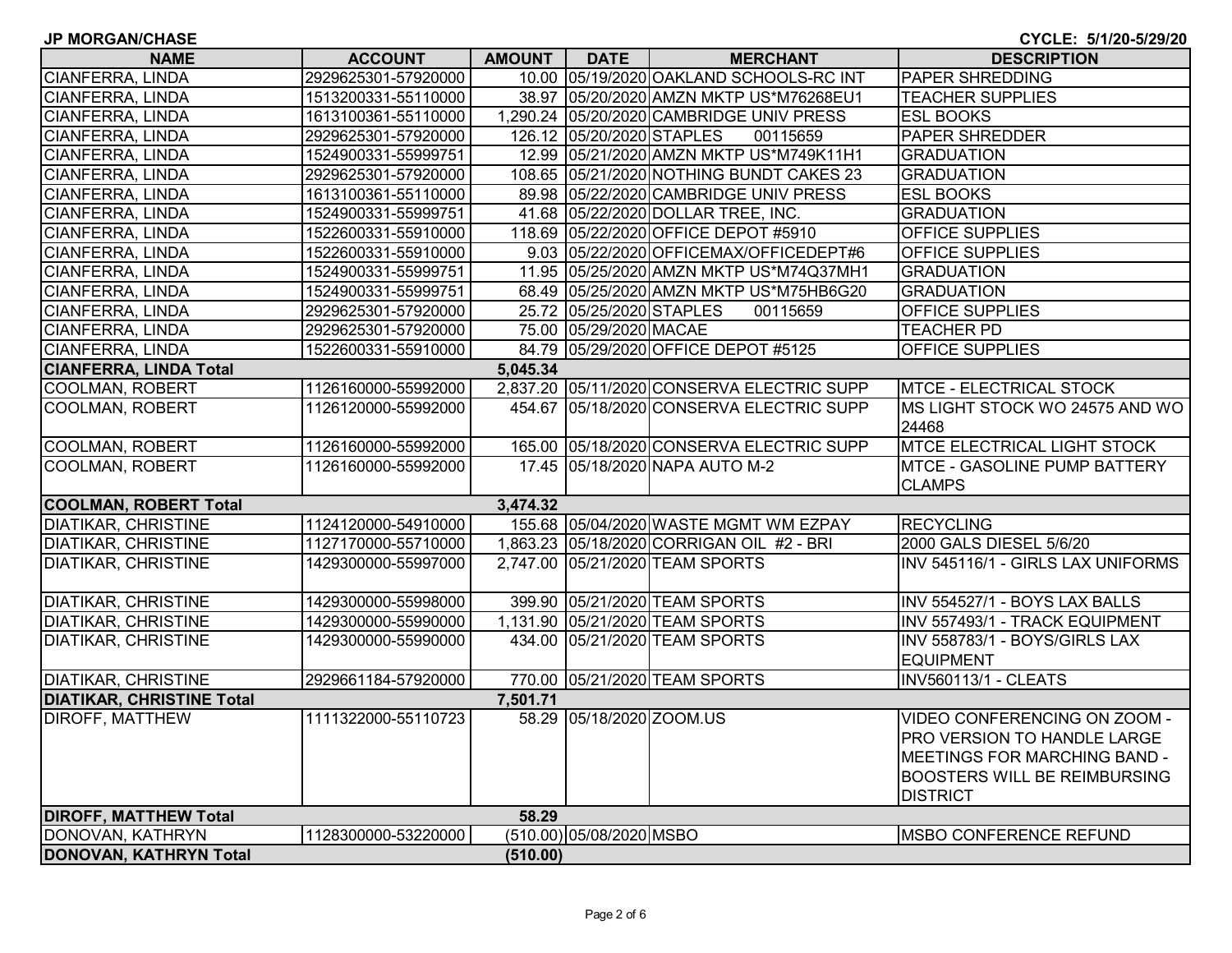**JP MORGAN/CHASE**

| <b>NAME</b>                      | <b>ACCOUNT</b>      | AMOUNT   | DATE                      | <b>MERCHANT</b>                            | <b>DESCRIPTION</b>                  |  |  |  |
|----------------------------------|---------------------|----------|---------------------------|--------------------------------------------|-------------------------------------|--|--|--|
| <b>CIANFERRA, LINDA</b>          | 2929625301-57920000 |          |                           | 10.00 05/19/2020 OAKLAND SCHOOLS-RC INT    | <b>PAPER SHREDDING</b>              |  |  |  |
| <b>CIANFERRA, LINDA</b>          | 1513200331-55110000 |          |                           | 38.97 05/20/2020 AMZN MKTP US*M76268EU1    | <b>TEACHER SUPPLIES</b>             |  |  |  |
| CIANFERRA, LINDA                 | 1613100361-55110000 |          |                           | 1,290.24 05/20/2020 CAMBRIDGE UNIV PRESS   | <b>ESL BOOKS</b>                    |  |  |  |
| <b>CIANFERRA, LINDA</b>          | 2929625301-57920000 |          | 126.12 05/20/2020 STAPLES | 00115659                                   | <b>PAPER SHREDDER</b>               |  |  |  |
| CIANFERRA, LINDA                 | 1524900331-55999751 |          |                           | 12.99 05/21/2020 AMZN MKTP US*M749K11H1    | <b>GRADUATION</b>                   |  |  |  |
| <b>CIANFERRA, LINDA</b>          | 2929625301-57920000 |          |                           | 108.65 05/21/2020 NOTHING BUNDT CAKES 23   | <b>GRADUATION</b>                   |  |  |  |
| CIANFERRA, LINDA                 | 1613100361-55110000 |          |                           | 89.98 05/22/2020 CAMBRIDGE UNIV PRESS      | <b>ESL BOOKS</b>                    |  |  |  |
| <b>CIANFERRA, LINDA</b>          | 1524900331-55999751 |          |                           | 41.68 05/22/2020 DOLLAR TREE, INC.         | <b>GRADUATION</b>                   |  |  |  |
| CIANFERRA, LINDA                 | 1522600331-55910000 |          |                           | 118.69 05/22/2020 OFFICE DEPOT #5910       | OFFICE SUPPLIES                     |  |  |  |
| CIANFERRA, LINDA                 | 1522600331-55910000 |          |                           | 9.03 05/22/2020 OFFICEMAX/OFFICEDEPT#6     | <b>OFFICE SUPPLIES</b>              |  |  |  |
| CIANFERRA, LINDA                 | 1524900331-55999751 |          |                           | 11.95 05/25/2020 AMZN MKTP US*M74Q37MH1    | <b>GRADUATION</b>                   |  |  |  |
| CIANFERRA, LINDA                 | 1524900331-55999751 |          |                           | 68.49 05/25/2020 AMZN MKTP US*M75HB6G20    | <b>GRADUATION</b>                   |  |  |  |
| CIANFERRA, LINDA                 | 2929625301-57920000 |          | 25.72 05/25/2020 STAPLES  | 00115659                                   | <b>OFFICE SUPPLIES</b>              |  |  |  |
| CIANFERRA, LINDA                 | 2929625301-57920000 |          | 75.00 05/29/2020 MACAE    |                                            | <b>TEACHER PD</b>                   |  |  |  |
| CIANFERRA, LINDA                 | 1522600331-55910000 |          |                           | 84.79 05/29/2020 OFFICE DEPOT #5125        | OFFICE SUPPLIES                     |  |  |  |
| <b>CIANFERRA, LINDA Total</b>    |                     | 5,045.34 |                           |                                            |                                     |  |  |  |
| COOLMAN, ROBERT                  | 1126160000-55992000 |          |                           | 2,837.20 05/11/2020 CONSERVA ELECTRIC SUPP | <b>MTCE - ELECTRICAL STOCK</b>      |  |  |  |
| <b>COOLMAN, ROBERT</b>           | 1126120000-55992000 |          |                           | 454.67 05/18/2020 CONSERVA ELECTRIC SUPP   | MS LIGHT STOCK WO 24575 AND WO      |  |  |  |
|                                  |                     |          |                           |                                            | 24468                               |  |  |  |
| <b>COOLMAN, ROBERT</b>           | 1126160000-55992000 |          |                           | 165.00 05/18/2020 CONSERVA ELECTRIC SUPP   | <b>MTCE ELECTRICAL LIGHT STOCK</b>  |  |  |  |
| <b>COOLMAN, ROBERT</b>           | 1126160000-55992000 |          |                           | 17.45 05/18/2020 NAPA AUTO M-2             | <b>MTCE - GASOLINE PUMP BATTERY</b> |  |  |  |
|                                  |                     |          |                           |                                            | <b>CLAMPS</b>                       |  |  |  |
| <b>COOLMAN, ROBERT Total</b>     |                     | 3,474.32 |                           |                                            |                                     |  |  |  |
| <b>DIATIKAR, CHRISTINE</b>       | 1124120000-54910000 |          |                           | 155.68 05/04/2020 WASTE MGMT WM EZPAY      | <b>RECYCLING</b>                    |  |  |  |
| <b>DIATIKAR, CHRISTINE</b>       | 1127170000-55710000 |          |                           | 1,863.23 05/18/2020 CORRIGAN OIL #2 - BRI  | 2000 GALS DIESEL 5/6/20             |  |  |  |
| <b>DIATIKAR, CHRISTINE</b>       | 1429300000-55997000 |          |                           | 2,747.00 05/21/2020 TEAM SPORTS            | INV 545116/1 - GIRLS LAX UNIFORMS   |  |  |  |
|                                  |                     |          |                           |                                            |                                     |  |  |  |
| <b>DIATIKAR, CHRISTINE</b>       | 1429300000-55998000 |          |                           | 399.90 05/21/2020 TEAM SPORTS              | INV 554527/1 - BOYS LAX BALLS       |  |  |  |
| <b>DIATIKAR, CHRISTINE</b>       | 1429300000-55990000 |          |                           | 1,131.90 05/21/2020 TEAM SPORTS            | INV 557493/1 - TRACK EQUIPMENT      |  |  |  |
| <b>DIATIKAR, CHRISTINE</b>       | 1429300000-55990000 |          |                           | 434.00 05/21/2020 TEAM SPORTS              | INV 558783/1 - BOYS/GIRLS LAX       |  |  |  |
|                                  |                     |          |                           |                                            | <b>EQUIPMENT</b>                    |  |  |  |
| <b>DIATIKAR, CHRISTINE</b>       | 2929661184-57920000 |          |                           | 770.00 05/21/2020 TEAM SPORTS              | <b>INV560113/1 - CLEATS</b>         |  |  |  |
| <b>DIATIKAR, CHRISTINE Total</b> |                     | 7,501.71 |                           |                                            |                                     |  |  |  |
| <b>DIROFF, MATTHEW</b>           | 1111322000-55110723 |          | 58.29 05/18/2020 ZOOM.US  |                                            | VIDEO CONFERENCING ON ZOOM -        |  |  |  |
|                                  |                     |          |                           |                                            | PRO VERSION TO HANDLE LARGE         |  |  |  |
|                                  |                     |          |                           |                                            | MEETINGS FOR MARCHING BAND -        |  |  |  |
|                                  |                     |          |                           |                                            | <b>BOOSTERS WILL BE REIMBURSING</b> |  |  |  |
|                                  |                     |          |                           |                                            | <b>DISTRICT</b>                     |  |  |  |
| <b>DIROFF, MATTHEW Total</b>     |                     | 58.29    |                           |                                            |                                     |  |  |  |
| DONOVAN, KATHRYN                 | 1128300000-53220000 |          | (510.00) 05/08/2020 MSBO  |                                            | <b>MSBO CONFERENCE REFUND</b>       |  |  |  |
| DONOVAN, KATHRYN Total           | (510.00)            |          |                           |                                            |                                     |  |  |  |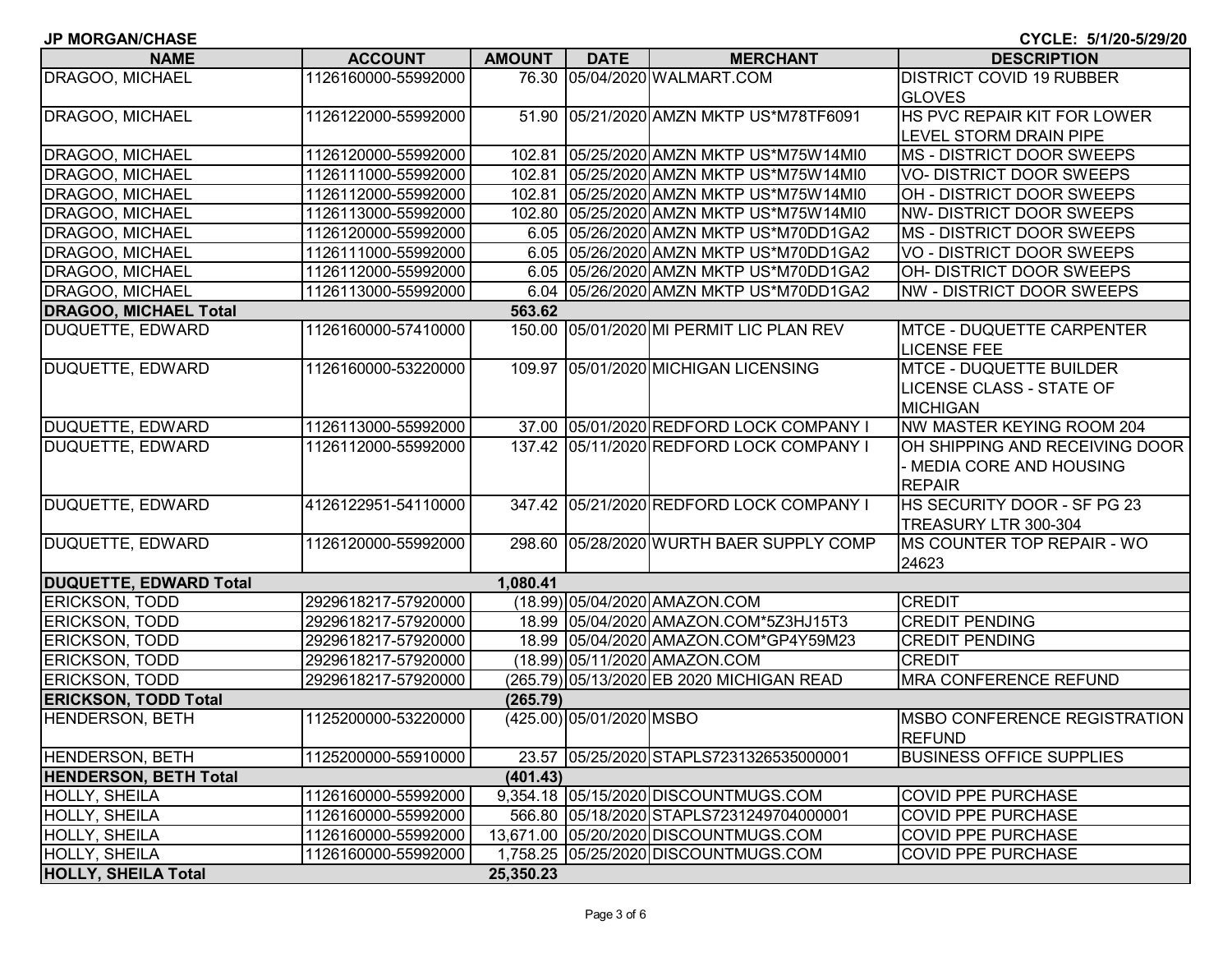|  |  |  |  |  |  | <b>JP MORGAN/CHASE</b> |
|--|--|--|--|--|--|------------------------|
|--|--|--|--|--|--|------------------------|

**CYCLE: 5/1/20-5/29/20**

| <b>NAME</b>                   | <b>ACCOUNT</b>      | <b>AMOUNT</b> | <b>DATE</b>              | <b>MERCHANT</b>                           | <b>DESCRIPTION</b>                     |
|-------------------------------|---------------------|---------------|--------------------------|-------------------------------------------|----------------------------------------|
| DRAGOO, MICHAEL               | 1126160000-55992000 |               |                          | 76.30 05/04/2020 WALMART.COM              | <b>DISTRICT COVID 19 RUBBER</b>        |
|                               |                     |               |                          |                                           | <b>GLOVES</b>                          |
| DRAGOO, MICHAEL               | 1126122000-55992000 |               |                          | 51.90 05/21/2020 AMZN MKTP US*M78TF6091   | HS PVC REPAIR KIT FOR LOWER            |
|                               |                     |               |                          |                                           | LEVEL STORM DRAIN PIPE                 |
| DRAGOO, MICHAEL               | 1126120000-55992000 |               |                          | 102.81 05/25/2020 AMZN MKTP US*M75W14MI0  | MS - DISTRICT DOOR SWEEPS              |
| DRAGOO, MICHAEL               | 1126111000-55992000 |               |                          | 102.81 05/25/2020 AMZN MKTP US*M75W14MI0  | <b>VO- DISTRICT DOOR SWEEPS</b>        |
| DRAGOO, MICHAEL               | 1126112000-55992000 |               |                          | 102.81 05/25/2020 AMZN MKTP US*M75W14MI0  | OH - DISTRICT DOOR SWEEPS              |
| DRAGOO, MICHAEL               | 1126113000-55992000 |               |                          | 102.80 05/25/2020 AMZN MKTP US*M75W14MI0  | NW-DISTRICT DOOR SWEEPS                |
| DRAGOO, MICHAEL               | 1126120000-55992000 |               |                          | 6.05 05/26/2020 AMZN MKTP US*M70DD1GA2    | MS - DISTRICT DOOR SWEEPS              |
| <b>DRAGOO, MICHAEL</b>        | 1126111000-55992000 |               |                          | 6.05 05/26/2020 AMZN MKTP US*M70DD1GA2    | <b>VO - DISTRICT DOOR SWEEPS</b>       |
| DRAGOO, MICHAEL               | 1126112000-55992000 |               |                          | 6.05 05/26/2020 AMZN MKTP US*M70DD1GA2    | OH- DISTRICT DOOR SWEEPS               |
| DRAGOO, MICHAEL               | 1126113000-55992000 |               |                          | 6.04 05/26/2020 AMZN MKTP US*M70DD1GA2    | NW - DISTRICT DOOR SWEEPS              |
| <b>DRAGOO, MICHAEL Total</b>  |                     | 563.62        |                          |                                           |                                        |
| DUQUETTE, EDWARD              | 1126160000-57410000 |               |                          | 150.00 05/01/2020 MI PERMIT LIC PLAN REV  | <b>MTCE - DUQUETTE CARPENTER</b>       |
|                               |                     |               |                          |                                           | <b>LICENSE FEE</b>                     |
| DUQUETTE, EDWARD              | 1126160000-53220000 |               |                          | 109.97 05/01/2020 MICHIGAN LICENSING      | <b>MTCE - DUQUETTE BUILDER</b>         |
|                               |                     |               |                          |                                           | <b>LICENSE CLASS - STATE OF</b>        |
|                               |                     |               |                          |                                           | <b>MICHIGAN</b>                        |
| DUQUETTE, EDWARD              | 1126113000-55992000 |               |                          | 37.00 05/01/2020 REDFORD LOCK COMPANY I   | NW MASTER KEYING ROOM 204              |
| DUQUETTE, EDWARD              | 1126112000-55992000 |               |                          | 137.42 05/11/2020 REDFORD LOCK COMPANY I  | OH SHIPPING AND RECEIVING DOOR         |
|                               |                     |               |                          |                                           | - MEDIA CORE AND HOUSING               |
|                               |                     |               |                          |                                           | <b>REPAIR</b>                          |
| DUQUETTE, EDWARD              | 4126122951-54110000 |               |                          | 347.42 05/21/2020 REDFORD LOCK COMPANY I  | HS SECURITY DOOR - SF PG 23            |
|                               |                     |               |                          |                                           | TREASURY LTR 300-304                   |
| DUQUETTE, EDWARD              | 1126120000-55992000 |               |                          | 298.60 05/28/2020 WURTH BAER SUPPLY COMP  | MS COUNTER TOP REPAIR - WO             |
|                               |                     |               |                          |                                           | 24623                                  |
| <b>DUQUETTE, EDWARD Total</b> |                     | 1,080.41      |                          |                                           |                                        |
| <b>ERICKSON, TODD</b>         | 2929618217-57920000 |               |                          | (18.99) 05/04/2020 AMAZON.COM             | <b>CREDIT</b>                          |
| <b>ERICKSON, TODD</b>         | 2929618217-57920000 |               |                          | 18.99 05/04/2020 AMAZON.COM*5Z3HJ15T3     | <b>CREDIT PENDING</b>                  |
| <b>ERICKSON, TODD</b>         | 2929618217-57920000 |               |                          | 18.99 05/04/2020 AMAZON.COM*GP4Y59M23     | <b>CREDIT PENDING</b>                  |
| <b>ERICKSON, TODD</b>         | 2929618217-57920000 |               |                          | (18.99) 05/11/2020 AMAZON.COM             | <b>CREDIT</b>                          |
| <b>ERICKSON, TODD</b>         | 2929618217-57920000 |               |                          | (265.79) 05/13/2020 EB 2020 MICHIGAN READ | <b>MRA CONFERENCE REFUND</b>           |
| <b>ERICKSON, TODD Total</b>   |                     | (265.79)      |                          |                                           |                                        |
| HENDERSON, BETH               | 1125200000-53220000 |               | (425.00) 05/01/2020 MSBO |                                           | MSBO CONFERENCE REGISTRATION<br>REFUND |
| HENDERSON, BETH               | 1125200000-55910000 |               |                          | 23.57 05/25/2020 STAPLS7231326535000001   | <b>BUSINESS OFFICE SUPPLIES</b>        |
| <b>HENDERSON, BETH Total</b>  |                     | (401.43)      |                          |                                           |                                        |
| HOLLY, SHEILA                 | 1126160000-55992000 |               |                          | 9,354.18 05/15/2020 DISCOUNTMUGS.COM      | <b>COVID PPE PURCHASE</b>              |
| HOLLY, SHEILA                 | 1126160000-55992000 |               |                          | 566.80 05/18/2020 STAPLS7231249704000001  | <b>COVID PPE PURCHASE</b>              |
| <b>HOLLY, SHEILA</b>          | 1126160000-55992000 |               |                          | 13,671.00 05/20/2020 DISCOUNTMUGS.COM     | <b>COVID PPE PURCHASE</b>              |
| HOLLY, SHEILA                 | 1126160000-55992000 |               |                          | 1,758.25 05/25/2020 DISCOUNTMUGS.COM      | <b>COVID PPE PURCHASE</b>              |
| <b>HOLLY, SHEILA Total</b>    |                     | 25,350.23     |                          |                                           |                                        |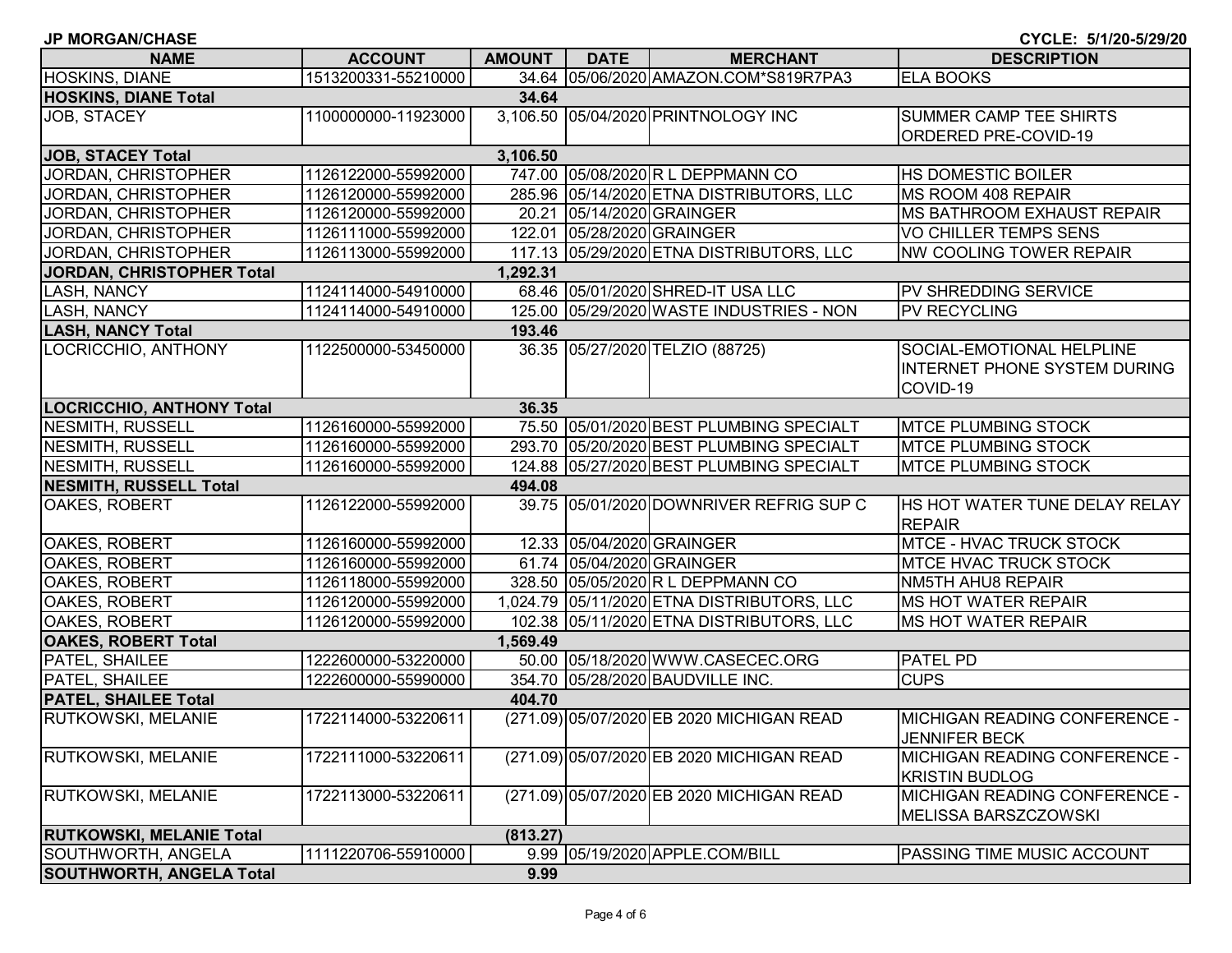| <b>JP MORGAN/CHASE</b>           |                     |               |             |                                            | CYCLE: 5/1/20-5/29/20                                        |
|----------------------------------|---------------------|---------------|-------------|--------------------------------------------|--------------------------------------------------------------|
| <b>NAME</b>                      | <b>ACCOUNT</b>      | <b>AMOUNT</b> | <b>DATE</b> | <b>MERCHANT</b>                            | <b>DESCRIPTION</b>                                           |
| HOSKINS, DIANE                   | 1513200331-55210000 |               |             | 34.64 05/06/2020 AMAZON.COM*S819R7PA3      | <b>ELA BOOKS</b>                                             |
| <b>HOSKINS, DIANE Total</b>      |                     | 34.64         |             |                                            |                                                              |
| <b>JOB, STACEY</b>               | 1100000000-11923000 |               |             | 3,106.50 05/04/2020 PRINTNOLOGY INC        | <b>SUMMER CAMP TEE SHIRTS</b>                                |
|                                  |                     |               |             |                                            | <b>ORDERED PRE-COVID-19</b>                                  |
| <b>JOB, STACEY Total</b>         |                     | 3,106.50      |             |                                            |                                                              |
| JORDAN, CHRISTOPHER              | 1126122000-55992000 |               |             | 747.00 05/08/2020 R L DEPPMANN CO          | <b>HS DOMESTIC BOILER</b>                                    |
| JORDAN, CHRISTOPHER              | 1126120000-55992000 |               |             | 285.96 05/14/2020 ETNA DISTRIBUTORS, LLC   | MS ROOM 408 REPAIR                                           |
| JORDAN, CHRISTOPHER              | 1126120000-55992000 |               |             | 20.21 05/14/2020 GRAINGER                  | <b>MS BATHROOM EXHAUST REPAIR</b>                            |
| JORDAN, CHRISTOPHER              | 1126111000-55992000 |               |             | 122.01 05/28/2020 GRAINGER                 | <b>VO CHILLER TEMPS SENS</b>                                 |
| JORDAN, CHRISTOPHER              | 1126113000-55992000 |               |             | 117.13 05/29/2020 ETNA DISTRIBUTORS, LLC   | <b>NW COOLING TOWER REPAIR</b>                               |
| <b>JORDAN, CHRISTOPHER Total</b> |                     | 1,292.31      |             |                                            |                                                              |
| LASH, NANCY                      | 1124114000-54910000 |               |             | 68.46 05/01/2020 SHRED-IT USA LLC          | PV SHREDDING SERVICE                                         |
| LASH, NANCY                      | 1124114000-54910000 |               |             | 125.00 05/29/2020 WASTE INDUSTRIES - NON   | <b>PV RECYCLING</b>                                          |
| <b>LASH, NANCY Total</b>         |                     | 193.46        |             |                                            |                                                              |
| LOCRICCHIO, ANTHONY              | 1122500000-53450000 |               |             | 36.35 05/27/2020 TELZIO (88725)            | SOCIAL-EMOTIONAL HELPLINE                                    |
|                                  |                     |               |             |                                            | <b>INTERNET PHONE SYSTEM DURING</b>                          |
|                                  |                     |               |             |                                            | COVID-19                                                     |
| <b>LOCRICCHIO, ANTHONY Total</b> |                     | 36.35         |             |                                            |                                                              |
| <b>NESMITH, RUSSELL</b>          | 1126160000-55992000 |               |             | 75.50 05/01/2020 BEST PLUMBING SPECIALT    | <b>MTCE PLUMBING STOCK</b>                                   |
| <b>NESMITH, RUSSELL</b>          | 1126160000-55992000 |               |             | 293.70 05/20/2020 BEST PLUMBING SPECIALT   | <b>MTCE PLUMBING STOCK</b>                                   |
| <b>NESMITH, RUSSELL</b>          | 1126160000-55992000 |               |             | 124.88 05/27/2020 BEST PLUMBING SPECIALT   | <b>MTCE PLUMBING STOCK</b>                                   |
| <b>NESMITH, RUSSELL Total</b>    |                     | 494.08        |             |                                            |                                                              |
| OAKES, ROBERT                    | 1126122000-55992000 |               |             | 39.75 05/01/2020 DOWNRIVER REFRIG SUP C    | HS HOT WATER TUNE DELAY RELAY<br><b>REPAIR</b>               |
| OAKES, ROBERT                    | 1126160000-55992000 |               |             | 12.33 05/04/2020 GRAINGER                  | <b>MTCE - HVAC TRUCK STOCK</b>                               |
| OAKES, ROBERT                    | 1126160000-55992000 |               |             | 61.74 05/04/2020 GRAINGER                  | <b>MTCE HVAC TRUCK STOCK</b>                                 |
| OAKES, ROBERT                    | 1126118000-55992000 |               |             | 328.50 05/05/2020 R L DEPPMANN CO          | <b>NM5TH AHU8 REPAIR</b>                                     |
| OAKES, ROBERT                    | 1126120000-55992000 |               |             | 1,024.79 05/11/2020 ETNA DISTRIBUTORS, LLC | <b>MS HOT WATER REPAIR</b>                                   |
| <b>OAKES, ROBERT</b>             | 1126120000-55992000 |               |             | 102.38 05/11/2020 ETNA DISTRIBUTORS, LLC   | <b>MS HOT WATER REPAIR</b>                                   |
| <b>OAKES, ROBERT Total</b>       |                     | 1,569.49      |             |                                            |                                                              |
| PATEL, SHAILEE                   | 1222600000-53220000 |               |             | 50.00 05/18/2020 WWW.CASECEC.ORG           | <b>PATEL PD</b>                                              |
| PATEL, SHAILEE                   | 1222600000-55990000 |               |             | 354.70 05/28/2020 BAUDVILLE INC.           | <b>CUPS</b>                                                  |
| <b>PATEL, SHAILEE Total</b>      |                     | 404.70        |             |                                            |                                                              |
| <b>RUTKOWSKI, MELANIE</b>        | 1722114000-53220611 |               |             | (271.09) 05/07/2020 EB 2020 MICHIGAN READ  | IMICHIGAN READING CONFERENCE -<br><b>JENNIFER BECK</b>       |
| <b>RUTKOWSKI, MELANIE</b>        | 1722111000-53220611 |               |             | (271.09) 05/07/2020 EB 2020 MICHIGAN READ  | MICHIGAN READING CONFERENCE -<br><b>KRISTIN BUDLOG</b>       |
| <b>RUTKOWSKI, MELANIE</b>        | 1722113000-53220611 |               |             | (271.09) 05/07/2020 EB 2020 MICHIGAN READ  | <b>MICHIGAN READING CONFERENCE -</b><br>MELISSA BARSZCZOWSKI |
| <b>RUTKOWSKI, MELANIE Total</b>  |                     | (813.27)      |             |                                            |                                                              |
| SOUTHWORTH, ANGELA               | 1111220706-55910000 |               |             | 9.99 05/19/2020 APPLE.COM/BILL             | <b>PASSING TIME MUSIC ACCOUNT</b>                            |
| <b>SOUTHWORTH, ANGELA Total</b>  |                     | 9.99          |             |                                            |                                                              |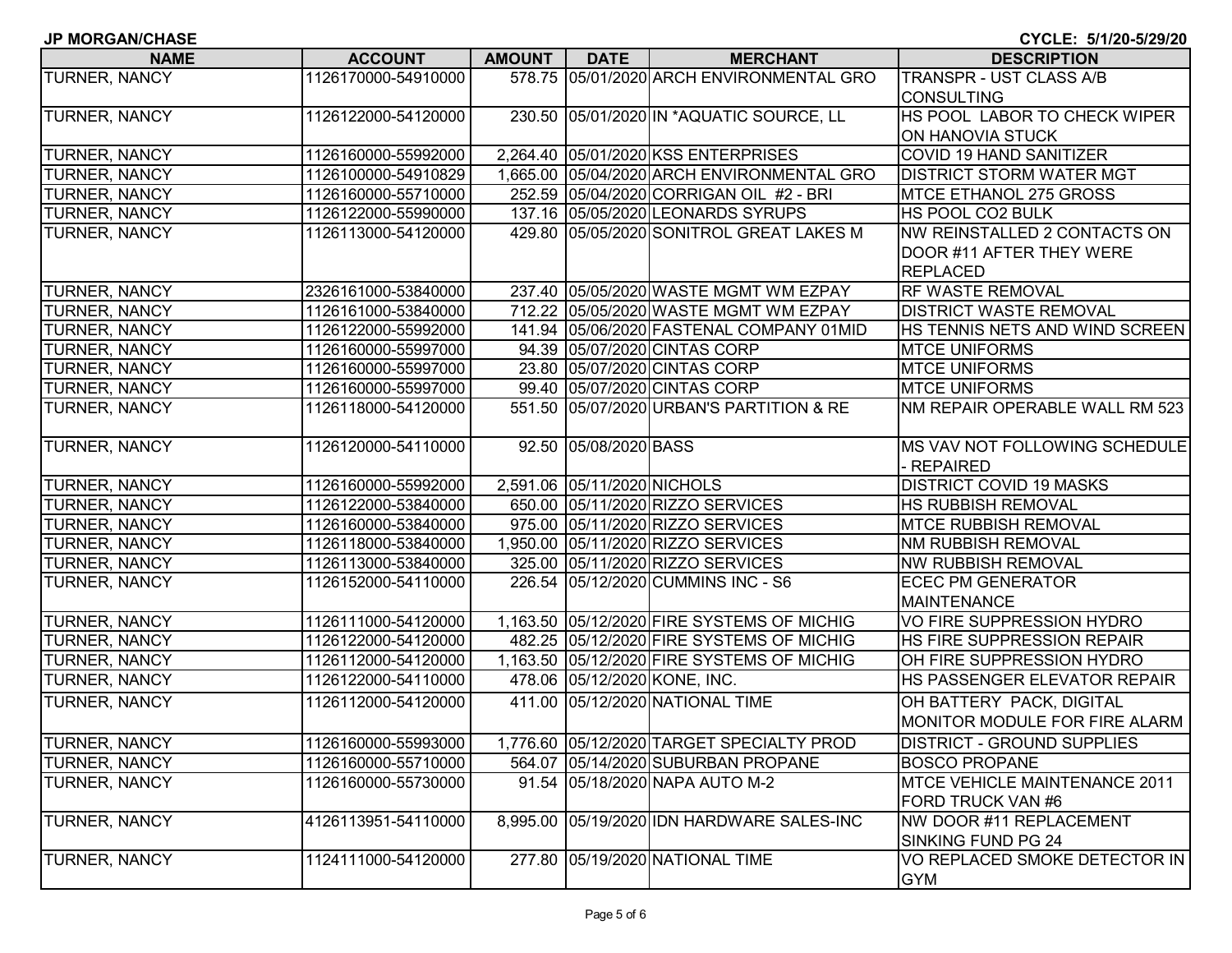| <b>JP MORGAN/CHASE</b><br>CYCLE: 5/1/20-5/29/20 |                     |               |                             |                                            |                                   |  |
|-------------------------------------------------|---------------------|---------------|-----------------------------|--------------------------------------------|-----------------------------------|--|
| <b>NAME</b>                                     | <b>ACCOUNT</b>      | <b>AMOUNT</b> | <b>DATE</b>                 | <b>MERCHANT</b>                            | <b>DESCRIPTION</b>                |  |
| <b>TURNER, NANCY</b>                            | 1126170000-54910000 |               |                             | 578.75 05/01/2020 ARCH ENVIRONMENTAL GRO   | <b>TRANSPR - UST CLASS A/B</b>    |  |
|                                                 |                     |               |                             |                                            | <b>CONSULTING</b>                 |  |
| <b>TURNER, NANCY</b>                            | 1126122000-54120000 |               |                             | 230.50 05/01/2020 IN *AQUATIC SOURCE, LL   | HS POOL LABOR TO CHECK WIPER      |  |
|                                                 |                     |               |                             |                                            | ON HANOVIA STUCK                  |  |
| <b>TURNER, NANCY</b>                            | 1126160000-55992000 |               |                             | 2,264.40 05/01/2020 KSS ENTERPRISES        | <b>COVID 19 HAND SANITIZER</b>    |  |
| <b>TURNER, NANCY</b>                            | 1126100000-54910829 |               |                             | 1,665.00 05/04/2020 ARCH ENVIRONMENTAL GRO | <b>DISTRICT STORM WATER MGT</b>   |  |
| <b>TURNER, NANCY</b>                            | 1126160000-55710000 |               |                             | 252.59 05/04/2020 CORRIGAN OIL #2 - BRI    | <b>MTCE ETHANOL 275 GROSS</b>     |  |
| <b>TURNER, NANCY</b>                            | 1126122000-55990000 |               |                             | 137.16 05/05/2020 LEONARDS SYRUPS          | HS POOL CO2 BULK                  |  |
| <b>TURNER, NANCY</b>                            | 1126113000-54120000 |               |                             | 429.80 05/05/2020 SONITROL GREAT LAKES M   | NW REINSTALLED 2 CONTACTS ON      |  |
|                                                 |                     |               |                             |                                            | DOOR #11 AFTER THEY WERE          |  |
|                                                 |                     |               |                             |                                            | <b>REPLACED</b>                   |  |
| <b>TURNER, NANCY</b>                            | 2326161000-53840000 |               |                             | 237.40 05/05/2020 WASTE MGMT WM EZPAY      | <b>RF WASTE REMOVAL</b>           |  |
| <b>TURNER, NANCY</b>                            | 1126161000-53840000 |               |                             | 712.22 05/05/2020 WASTE MGMT WM EZPAY      | <b>DISTRICT WASTE REMOVAL</b>     |  |
| <b>TURNER, NANCY</b>                            | 1126122000-55992000 |               |                             | 141.94 05/06/2020 FASTENAL COMPANY 01MID   | HS TENNIS NETS AND WIND SCREEN    |  |
| <b>TURNER, NANCY</b>                            | 1126160000-55997000 |               |                             | 94.39 05/07/2020 CINTAS CORP               | <b>MTCE UNIFORMS</b>              |  |
| <b>TURNER, NANCY</b>                            | 1126160000-55997000 |               |                             | 23.80 05/07/2020 CINTAS CORP               | <b>MTCE UNIFORMS</b>              |  |
| <b>TURNER, NANCY</b>                            | 1126160000-55997000 |               |                             | 99.40 05/07/2020 CINTAS CORP               | <b>MTCE UNIFORMS</b>              |  |
| TURNER, NANCY                                   | 1126118000-54120000 |               |                             | 551.50 05/07/2020 URBAN'S PARTITION & RE   | NM REPAIR OPERABLE WALL RM 523    |  |
|                                                 |                     |               |                             |                                            |                                   |  |
| TURNER, NANCY                                   | 1126120000-54110000 |               | 92.50 05/08/2020 BASS       |                                            | MS VAV NOT FOLLOWING SCHEDULE     |  |
|                                                 |                     |               |                             |                                            | - REPAIRED                        |  |
| <b>TURNER, NANCY</b>                            | 1126160000-55992000 |               | 2,591.06 05/11/2020 NICHOLS |                                            | <b>DISTRICT COVID 19 MASKS</b>    |  |
| <b>TURNER, NANCY</b>                            | 1126122000-53840000 |               |                             | 650.00 05/11/2020 RIZZO SERVICES           | <b>HS RUBBISH REMOVAL</b>         |  |
| TURNER, NANCY                                   | 1126160000-53840000 |               |                             | 975.00 05/11/2020 RIZZO SERVICES           | <b>MTCE RUBBISH REMOVAL</b>       |  |
| <b>TURNER, NANCY</b>                            | 1126118000-53840000 |               |                             | 1,950.00 05/11/2020 RIZZO SERVICES         | <b>NM RUBBISH REMOVAL</b>         |  |
| <b>TURNER, NANCY</b>                            | 1126113000-53840000 |               |                             | 325.00 05/11/2020 RIZZO SERVICES           | <b>NW RUBBISH REMOVAL</b>         |  |
| <b>TURNER, NANCY</b>                            | 1126152000-54110000 |               |                             | 226.54 05/12/2020 CUMMINS INC - S6         | <b>ECEC PM GENERATOR</b>          |  |
|                                                 |                     |               |                             |                                            | <b>MAINTENANCE</b>                |  |
| TURNER, NANCY                                   | 1126111000-54120000 |               |                             | 1,163.50 05/12/2020 FIRE SYSTEMS OF MICHIG | VO FIRE SUPPRESSION HYDRO         |  |
| <b>TURNER, NANCY</b>                            | 1126122000-54120000 |               |                             | 482.25 05/12/2020 FIRE SYSTEMS OF MICHIG   | HS FIRE SUPPRESSION REPAIR        |  |
| TURNER, NANCY                                   | 1126112000-54120000 |               |                             | 1,163.50 05/12/2020 FIRE SYSTEMS OF MICHIG | OH FIRE SUPPRESSION HYDRO         |  |
| <b>TURNER, NANCY</b>                            | 1126122000-54110000 |               |                             | 478.06 05/12/2020 KONE, INC.               | HS PASSENGER ELEVATOR REPAIR      |  |
| <b>TURNER, NANCY</b>                            | 1126112000-54120000 |               |                             | 411.00 05/12/2020 NATIONAL TIME            | OH BATTERY PACK, DIGITAL          |  |
|                                                 |                     |               |                             |                                            | MONITOR MODULE FOR FIRE ALARM     |  |
| <b>TURNER, NANCY</b>                            | 1126160000-55993000 |               |                             | 1,776.60 05/12/2020 TARGET SPECIALTY PROD  | <b>DISTRICT - GROUND SUPPLIES</b> |  |
| TURNER, NANCY                                   | 1126160000-55710000 |               |                             | 564.07 05/14/2020 SUBURBAN PROPANE         | <b>BOSCO PROPANE</b>              |  |
| <b>TURNER, NANCY</b>                            | 1126160000-55730000 |               |                             | 91.54 05/18/2020 NAPA AUTO M-2             | MTCE VEHICLE MAINTENANCE 2011     |  |
|                                                 |                     |               |                             |                                            | FORD TRUCK VAN #6                 |  |
| TURNER, NANCY                                   | 4126113951-54110000 |               |                             | 8,995.00 05/19/2020 IDN HARDWARE SALES-INC | NW DOOR #11 REPLACEMENT           |  |
|                                                 |                     |               |                             |                                            | SINKING FUND PG 24                |  |
| <b>TURNER, NANCY</b>                            | 1124111000-54120000 |               |                             | 277.80 05/19/2020 NATIONAL TIME            | VO REPLACED SMOKE DETECTOR IN     |  |
|                                                 |                     |               |                             |                                            |                                   |  |

GYM